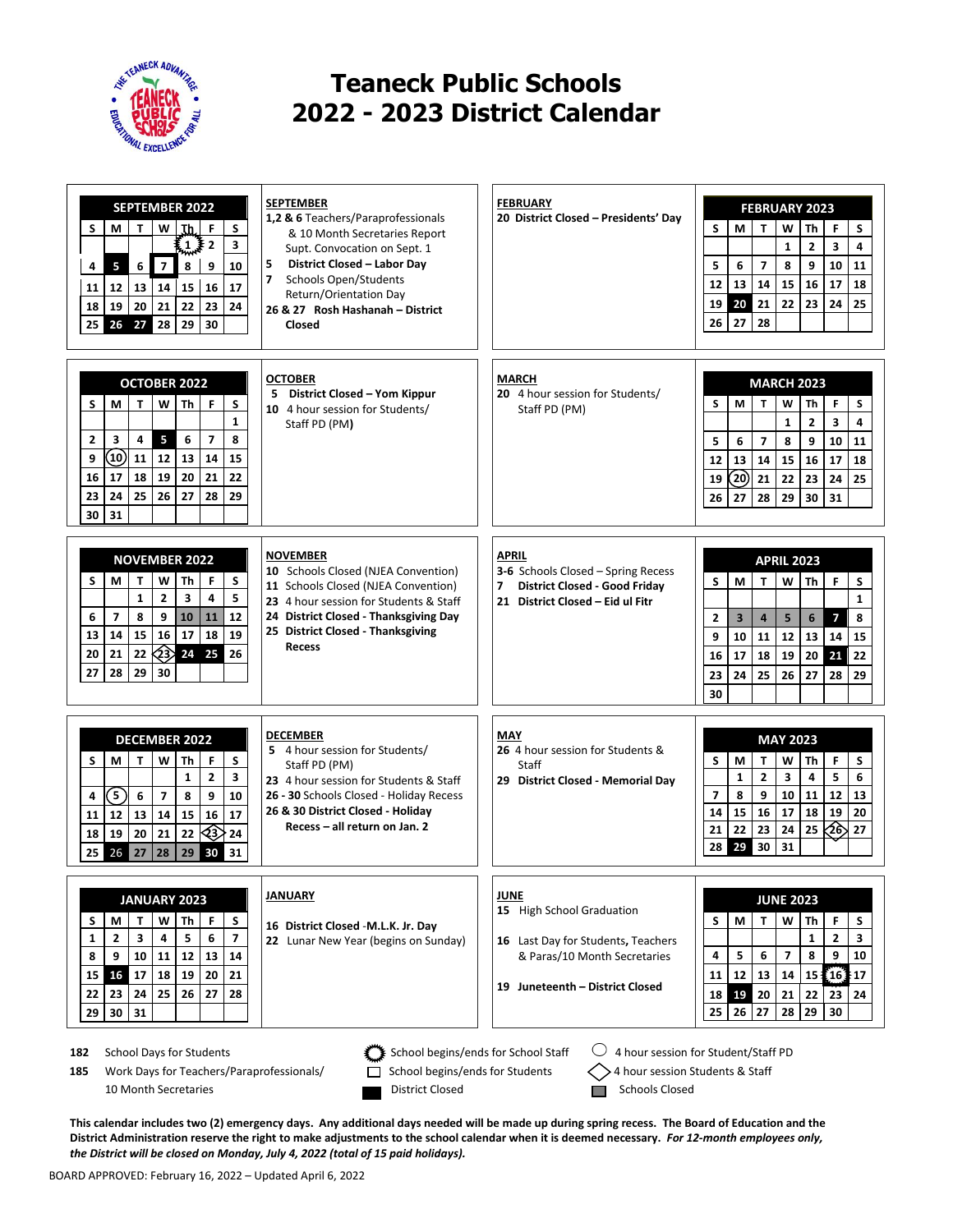

## **Teaneck Public Schools 2022 - 2023 District Calendar**

| <b>SEPTEMBER 2022</b>                                                                                                                                                                           | <b>SEPTEMBER</b><br>1,2 & 6 Teachers/Paraprofessionals                   | <b>FEBRUARY</b><br>20 District Closed - Presidents' Day          | <b>FEBRUARY 2023</b>                                             |  |  |  |  |  |
|-------------------------------------------------------------------------------------------------------------------------------------------------------------------------------------------------|--------------------------------------------------------------------------|------------------------------------------------------------------|------------------------------------------------------------------|--|--|--|--|--|
| S<br>S<br>М<br>т<br>w<br>F<br>Ţþ,                                                                                                                                                               | & 10 Month Secretaries Report                                            |                                                                  | S<br>W<br>М<br>T<br>F<br>S<br>Th                                 |  |  |  |  |  |
| $\mathbf{1}$<br>3<br>$\overline{2}$                                                                                                                                                             | Supt. Convocation on Sept. 1                                             |                                                                  | $\overline{2}$<br>$\mathbf{1}$<br>3<br>4                         |  |  |  |  |  |
| 5<br>$\overline{7}$<br>6<br>8<br>9<br>10<br>4                                                                                                                                                   | 5<br>District Closed - Labor Day                                         |                                                                  | 5<br>$\overline{\mathbf{z}}$<br>6<br>8<br>9<br>10<br>11          |  |  |  |  |  |
| 12<br>13<br>14<br>15<br>17<br>11<br>16                                                                                                                                                          | $\overline{7}$<br><b>Schools Open/Students</b><br>Return/Orientation Day |                                                                  | 12<br>13<br>14<br>15<br>16<br>17<br>18                           |  |  |  |  |  |
| 22<br>23<br>20<br>21<br>24<br>18<br>19                                                                                                                                                          | 26 & 27 Rosh Hashanah - District                                         |                                                                  | 22<br>20<br>21<br>23<br>24<br>25<br>19                           |  |  |  |  |  |
| 29<br>30<br>28<br>25<br>26<br>27                                                                                                                                                                | Closed                                                                   |                                                                  | 28<br>27<br>26                                                   |  |  |  |  |  |
|                                                                                                                                                                                                 |                                                                          |                                                                  |                                                                  |  |  |  |  |  |
|                                                                                                                                                                                                 |                                                                          |                                                                  |                                                                  |  |  |  |  |  |
| <b>OCTOBER 2022</b>                                                                                                                                                                             | <b>OCTOBER</b><br>5 District Closed - Yom Kippur                         | <b>MARCH</b><br>20 4 hour session for Students/                  | <b>MARCH 2023</b>                                                |  |  |  |  |  |
| T.<br>S<br>М<br>W<br>Th<br>F<br>S                                                                                                                                                               | 10 4 hour session for Students/                                          | Staff PD (PM)                                                    | S<br>M<br>T<br>W<br>F<br>S<br>Th                                 |  |  |  |  |  |
| $\mathbf{1}$                                                                                                                                                                                    | Staff PD (PM)                                                            |                                                                  | 3<br>$\mathbf{1}$<br>2<br>4                                      |  |  |  |  |  |
| $\overline{7}$<br>3<br>5<br>8<br>$\overline{2}$<br>4<br>6                                                                                                                                       |                                                                          |                                                                  | 5<br>8<br>9<br>6<br>$\overline{7}$<br>10<br>11                   |  |  |  |  |  |
| $\left( 10\right)$<br>13<br>9<br>11<br>12<br>14<br>15                                                                                                                                           |                                                                          |                                                                  | 12<br>13<br>14<br>15<br>16<br>17<br>18                           |  |  |  |  |  |
| 20<br>21<br>18<br>19<br>22<br>16<br>17                                                                                                                                                          |                                                                          |                                                                  | $\left( 20\right)$<br>22<br>19<br>21<br>23<br>24<br>25           |  |  |  |  |  |
| 26<br>23<br>24<br>25<br>27<br>28<br>29                                                                                                                                                          |                                                                          |                                                                  | 27<br>29<br>30<br>26<br>28<br>31                                 |  |  |  |  |  |
| 30<br>31                                                                                                                                                                                        |                                                                          |                                                                  |                                                                  |  |  |  |  |  |
|                                                                                                                                                                                                 |                                                                          |                                                                  |                                                                  |  |  |  |  |  |
| <b>NOVEMBER 2022</b>                                                                                                                                                                            | <b>NOVEMBER</b><br>10 Schools Closed (NJEA Convention)                   | <b>APRIL</b><br>3-6 Schools Closed - Spring Recess               | <b>APRIL 2023</b>                                                |  |  |  |  |  |
| S<br>S<br>М<br>T<br>w<br>Th<br>F                                                                                                                                                                | 11 Schools Closed (NJEA Convention)                                      | <b>District Closed - Good Friday</b><br>$\overline{\phantom{a}}$ | S<br>T.<br>w<br>F<br>S<br>M<br>Th                                |  |  |  |  |  |
| $\mathbf{1}$<br>$\overline{\mathbf{3}}$<br>$\overline{2}$<br>4<br>5                                                                                                                             | 23 4 hour session for Students & Staff                                   | 21 District Closed - Eid ul Fitr                                 | 1                                                                |  |  |  |  |  |
| 10<br>$\overline{7}$<br>8<br>9<br>11<br>12<br>6                                                                                                                                                 | 24 District Closed - Thanksgiving Day                                    |                                                                  | $\overline{\mathbf{z}}$<br>$\mathbf{2}$<br>3<br>5<br>6<br>8<br>4 |  |  |  |  |  |
| 16<br>18<br>15<br>17<br>19<br>13<br>14                                                                                                                                                          | 25 District Closed - Thanksgiving<br><b>Recess</b>                       |                                                                  | 9<br>12<br>13<br>10<br>11<br>14<br>15                            |  |  |  |  |  |
| ⁄୧୬<br>20<br>21<br>22<br>24<br>25<br>26                                                                                                                                                         |                                                                          |                                                                  | 21<br>16<br>17<br>18<br>19<br>20<br>22                           |  |  |  |  |  |
| 29<br>28<br>30<br>27                                                                                                                                                                            |                                                                          |                                                                  | 24<br>25<br>23<br>26<br>27<br>28<br>29                           |  |  |  |  |  |
|                                                                                                                                                                                                 |                                                                          |                                                                  | 30                                                               |  |  |  |  |  |
|                                                                                                                                                                                                 |                                                                          |                                                                  |                                                                  |  |  |  |  |  |
| <b>DECEMBER 2022</b>                                                                                                                                                                            | <b>DECEMBER</b>                                                          | MAY<br>26 4 hour session for Students &                          | <b>MAY 2023</b>                                                  |  |  |  |  |  |
| S<br>м<br>т<br>W<br>F<br>S<br>Th                                                                                                                                                                | 5 4 hour session for Students/<br>Staff PD (PM)                          | <b>Staff</b>                                                     | S<br>F<br>S<br>M<br>т<br>W<br>Th                                 |  |  |  |  |  |
| $\overline{\mathbf{2}}$<br>$\mathbf{1}$<br>3                                                                                                                                                    | 23 4 hour session for Students & Staff                                   | 29 District Closed - Memorial Day                                | $\mathbf{1}$<br>$\overline{2}$<br>3<br>5<br>4<br>6               |  |  |  |  |  |
| $\left[5\right)$<br>$\overline{\mathbf{z}}$<br>8<br>9<br>10<br>6<br>4                                                                                                                           | 26 - 30 Schools Closed - Holiday Recess                                  |                                                                  | $\overline{7}$<br>8<br>12<br>9<br>10<br>11<br>13                 |  |  |  |  |  |
| 13<br>14<br>15<br>16<br>17<br>12<br>11                                                                                                                                                          | 26 & 30 District Closed - Holiday<br>Recess - all return on Jan. 2       |                                                                  | 15<br>14<br>16<br>17<br>18<br>19<br>20                           |  |  |  |  |  |
| ⊲३<br>22<br>18<br>19<br>20<br>21<br>24                                                                                                                                                          |                                                                          |                                                                  | ⁄26<br>22<br>23<br>24<br>25<br>27<br>21<br>29<br>30<br>31<br>28  |  |  |  |  |  |
| 30<br>25<br>26 27<br>28<br>29<br>31                                                                                                                                                             |                                                                          |                                                                  |                                                                  |  |  |  |  |  |
|                                                                                                                                                                                                 |                                                                          |                                                                  |                                                                  |  |  |  |  |  |
| JANUARY 2023                                                                                                                                                                                    | <b>JANUARY</b>                                                           | <b>JUNE</b>                                                      | <b>JUNE 2023</b>                                                 |  |  |  |  |  |
| W<br>Th<br>F<br>S<br>S<br>M<br>т                                                                                                                                                                | 16 District Closed -M.L.K. Jr. Day                                       | 15 High School Graduation                                        | F<br>S<br>S<br>М<br>W<br>т<br>Th                                 |  |  |  |  |  |
| $\overline{2}$<br>3<br>5<br>$\overline{\mathbf{z}}$<br>$\mathbf{1}$<br>4<br>6                                                                                                                   | 22 Lunar New Year (begins on Sunday)                                     | 16 Last Day for Students, Teachers                               | $\overline{2}$<br>$\mathbf{1}$<br>3                              |  |  |  |  |  |
| 10<br>11<br>12<br>13<br>8<br>9<br>14                                                                                                                                                            |                                                                          | & Paras/10 Month Secretaries                                     | 4<br>5<br>$\overline{\phantom{a}}$<br>8<br>9<br>6<br>10          |  |  |  |  |  |
| 16 17<br>18<br>20<br>19<br>15<br>21                                                                                                                                                             |                                                                          | 19 Juneteenth - District Closed                                  | 12<br>11<br>13<br>14<br>15 <sup>3</sup><br>[16]<br>17            |  |  |  |  |  |
| 24<br>25<br>27<br>22<br>26<br>23<br>28                                                                                                                                                          |                                                                          |                                                                  | 19<br>21<br>18<br>20<br>22<br>23<br>24                           |  |  |  |  |  |
| 31<br>29<br>30 <sup>1</sup>                                                                                                                                                                     |                                                                          |                                                                  | 25<br>26<br>27<br>28<br>29<br>30                                 |  |  |  |  |  |
|                                                                                                                                                                                                 |                                                                          |                                                                  |                                                                  |  |  |  |  |  |
| U<br>4 hour session for Student/Staff PD<br><b>School Days for Students</b><br>School begins/ends for School Staff<br>182<br>School begins/ends for Students<br>4 hour session Students & Staff |                                                                          |                                                                  |                                                                  |  |  |  |  |  |
| Work Days for Teachers/Paraprofessionals/<br>185                                                                                                                                                |                                                                          |                                                                  |                                                                  |  |  |  |  |  |
| 10 Month Secretaries                                                                                                                                                                            | District Closed                                                          | Schools Closed                                                   |                                                                  |  |  |  |  |  |

**This calendar includes two (2) emergency days. Any additional days needed will be made up during spring recess. The Board of Education and the District Administration reserve the right to make adjustments to the school calendar when it is deemed necessary.** *For 12-month employees only, the District will be closed on Monday, July 4, 2022 (total of 15 paid holidays).*